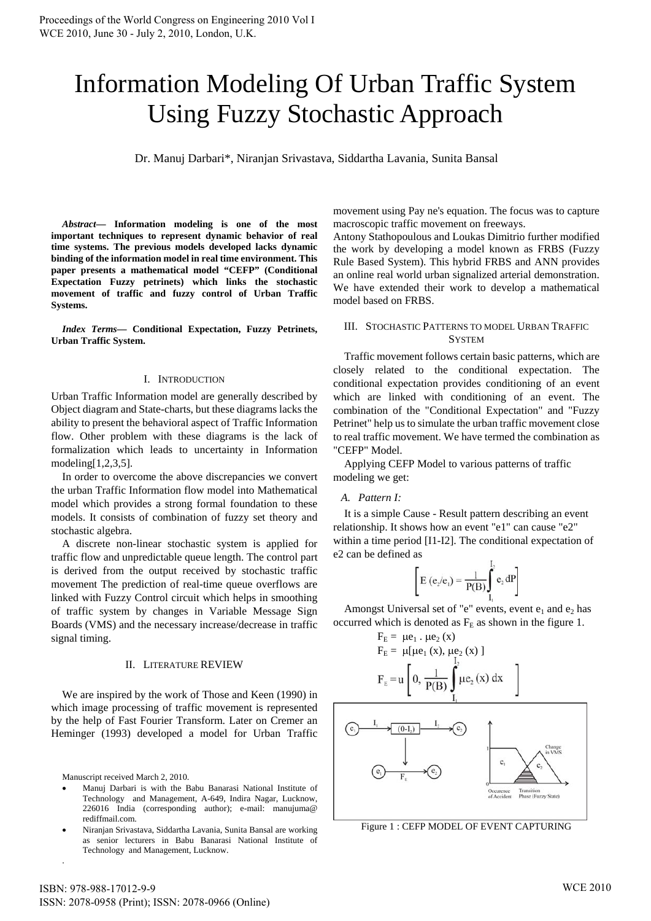# Information Modeling Of Urban Traffic System Using Fuzzy Stochastic Approach

Dr. Manuj Darbari\*, Niranjan Srivastava, Siddartha Lavania, Sunita Bansal

*Abstract***— Information modeling is one of the most important techniques to represent dynamic behavior of real time systems. The previous models developed lacks dynamic binding of the information model in real time environment. This paper presents a mathematical model "CEFP" (Conditional Expectation Fuzzy petrinets) which links the stochastic movement of traffic and fuzzy control of Urban Traffic Systems.** 

*Index Terms***— Conditional Expectation, Fuzzy Petrinets, Urban Traffic System.** 

## I. INTRODUCTION

Urban Traffic Information model are generally described by Object diagram and State-charts, but these diagrams lacks the ability to present the behavioral aspect of Traffic Information flow. Other problem with these diagrams is the lack of formalization which leads to uncertainty in Information modeling[1,2,3,5].

In order to overcome the above discrepancies we convert the urban Traffic Information flow model into Mathematical model which provides a strong formal foundation to these models. It consists of combination of fuzzy set theory and stochastic algebra.

A discrete non-linear stochastic system is applied for traffic flow and unpredictable queue length. The control part is derived from the output received by stochastic traffic movement The prediction of real-time queue overflows are linked with Fuzzy Control circuit which helps in smoothing of traffic system by changes in Variable Message Sign Boards (VMS) and the necessary increase/decrease in traffic signal timing.

## II. LITERATURE REVIEW

We are inspired by the work of Those and Keen (1990) in which image processing of traffic movement is represented by the help of Fast Fourier Transform. Later on Cremer an Heminger (1993) developed a model for Urban Traffic

Manuscript received March 2, 2010.

.

- Manuj Darbari is with the Babu Banarasi National Institute of Technology and Management, A-649, Indira Nagar, Lucknow, 226016 India (corresponding author); e-mail: manujuma@ rediffmail.com.
- Niranjan Srivastava, Siddartha Lavania, Sunita Bansal are working as senior lecturers in Babu Banarasi National Institute of Technology and Management, Lucknow.

movement using Pay ne's equation. The focus was to capture macroscopic traffic movement on freeways.

Antony Stathopoulous and Loukas Dimitrio further modified the work by developing a model known as FRBS (Fuzzy Rule Based System). This hybrid FRBS and ANN provides an online real world urban signalized arterial demonstration. We have extended their work to develop a mathematical model based on FRBS.

## III. STOCHASTIC PATTERNS TO MODEL URBAN TRAFFIC **SYSTEM**

Traffic movement follows certain basic patterns, which are closely related to the conditional expectation. The conditional expectation provides conditioning of an event which are linked with conditioning of an event. The combination of the "Conditional Expectation" and "Fuzzy Petrinet" help us to simulate the urban traffic movement close to real traffic movement. We have termed the combination as "CEFP" Model.

Applying CEFP Model to various patterns of traffic modeling we get:

## *A. Pattern I:*

It is a simple Cause - Result pattern describing an event relationship. It shows how an event "e1" can cause "e2" within a time period [I1-I2]. The conditional expectation of e2 can be defined as

$$
\[ \mathbf{E} \left( \mathbf{e}_2 / \mathbf{e}_1 \right) = \frac{1}{P(B)} \int_{1}^{1} \mathbf{e}_2 \, dP \]
$$

Amongst Universal set of "e" events, event  $e_1$  and  $e_2$  has occurred which is denoted as  $F<sub>E</sub>$  as shown in the figure 1.

$$
F_{E} = \mu e_{1} \cdot \mu e_{2} (x)
$$
  
\n
$$
F_{E} = \mu [\mu e_{1} (x), \mu e_{2} (x)]
$$
  
\n
$$
F_{E} = u \left[ 0, \frac{1}{P(B)} \int_{I_{1}}^{I_{2}} \mu e_{2} (x) dx \right]
$$



Figure 1 : CEFP MODEL OF EVENT CAPTURING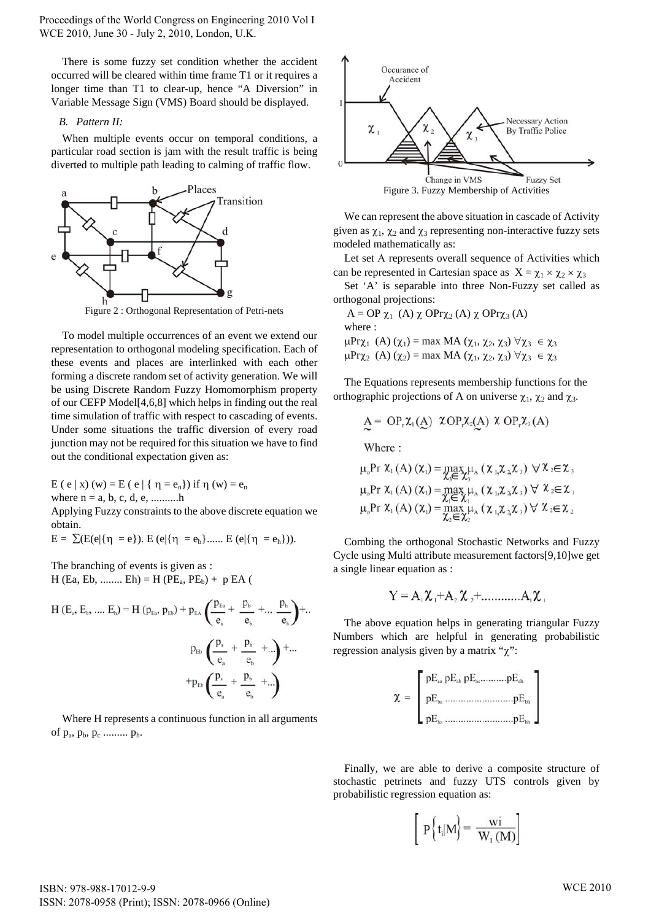Proceedings of the World Congress on Engineering 2010 Vol I WCE 2010, June 30 - July 2, 2010, London, U.K.

There is some fuzzy set condition whether the accident occurred will be cleared within time frame T1 or it requires a longer time than T1 to clear-up, hence "A Diversion" in Variable Message Sign (VMS) Board should be displayed.

#### *B. Pattern II:*

When multiple events occur on temporal conditions, a particular road section is jam with the result traffic is being diverted to multiple path leading to calming of traffic flow.



Figure 2 : Orthogonal Representation of Petri-nets

To model multiple occurrences of an event we extend our representation to orthogonal modeling specification. Each of these events and places are interlinked with each other forming a discrete random set of activity generation. We will be using Discrete Random Fuzzy Homomorphism property of our CEFP Model[4,6,8] which helps in finding out the real time simulation of traffic with respect to cascading of events. Under some situations the traffic diversion of every road junction may not be required for this situation we have to find out the conditional expectation given as:

E ( e | x) (w) = E ( e | { 
$$
\eta = e_n
$$
}) if  $\eta$  (w) =  $e_n$   
where n = a, b, c, d, e, .........h

Applying Fuzzy constraints to the above discrete equation we obtain.

$$
E = \sum (E(e|\{\eta = e\}). \ E(e|\{\eta = e_b\}..... \ E(e|\{\eta = e_h\})).
$$

The branching of events is given as :  $H$  (Ea, Eb, ........ Eh) = H (PE<sub>a</sub>, PE<sub>b</sub>) + p EA (

$$
H (E_a, E_b, .... E_h) = H (p_{Ea}, p_{Eb}) + p_{EA} \left( \frac{p_{Ea}}{e_a} + \frac{p_b}{e_b} + ... \frac{p_h}{e_h} \right) + ...
$$
  

$$
p_{Eb} \left( \frac{p_a}{e_a} + \frac{p_b}{e_b} + ... \right) + ...
$$
  

$$
+ p_{Eb} \left( \frac{p_a}{e_a} + \frac{p_b}{e_b} + ... \right)
$$

 Where H represents a continuous function in all arguments of  $p_a$ ,  $p_b$ ,  $p_c$  ..........  $p_h$ .



We can represent the above situation in cascade of Activity given as  $\chi_1$ ,  $\chi_2$  and  $\chi_3$  representing non-interactive fuzzy sets modeled mathematically as:

Let set A represents overall sequence of Activities which can be represented in Cartesian space as  $X = \chi_1 \times \chi_2 \times \chi_3$ 

Set 'A' is separable into three Non-Fuzzy set called as orthogonal projections:

A = OP 
$$
\chi_1
$$
 (A)  $\chi$  OPr $\chi_2$  (A)  $\chi$  OPr $\chi_3$  (A)  
where :  
 $\mu$ Pr $\chi_1$  (A)  $(\chi_1)$  = max MA  $(\chi_1, \chi_2, \chi_3)$   $\forall \chi_3 \in \chi_3$   
 $\mu$ Pr $\chi_2$  (A)  $(\chi_2)$  = max MA  $(\chi_1, \chi_2, \chi_3)$   $\forall \chi_3 \in \chi_3$ 

The Equations represents membership functions for the orthographic projections of A on universe  $\chi_1$ ,  $\chi_2$  and  $\chi_3$ .

$$
A = OPr \chi1(A) \; \chi OPr \chi2(A) \; \chi OPr \chi3(A)
$$

Where:

$$
\mu_{o} \Pr \chi_{1}(A) (\chi_{1}) = \max_{\chi_{3} \in \chi_{3}} \mu_{A} (\chi_{1,} \chi_{2,} \chi_{3}) \ \forall \chi_{2} \in \chi_{3}
$$
\n
$$
\mu_{o} \Pr \chi_{1}(A) (\chi_{1}) = \max_{\chi_{1} \in \chi_{1}} \mu_{A} (\chi_{1,} \chi_{2,} \chi_{3}) \ \forall \ \chi_{2} \in \chi_{1}
$$
\n
$$
\mu_{o} \Pr \chi_{1}(A) (\chi_{1}) = \max_{\chi_{2} \in \chi_{2}} \mu_{A} (\chi_{1,} \chi_{2,} \chi_{3}) \ \forall \ \chi_{2} \in \chi_{2}
$$

Combing the orthogonal Stochastic Networks and Fuzzy Cycle using Multi attribute measurement factors[9,10]we get a single linear equation as :

$$
Y = A_1 \mathcal{X}_1 + A_2 \mathcal{X}_2 + \dots + A_i \mathcal{X}_i
$$

The above equation helps in generating triangular Fuzzy Numbers which are helpful in generating probabilistic regression analysis given by a matrix " $\chi$ ":

| $\bigcap_{\alpha}pE_{\scriptscriptstyle ab}\,pE_{\scriptscriptstyle ac}pE_{\scriptscriptstyle ab}$ |
|----------------------------------------------------------------------------------------------------|
|                                                                                                    |
| $L$ p $E$ .                                                                                        |

Finally, we are able to derive a composite structure of stochastic petrinets and fuzzy UTS controls given by probabilistic regression equation as:

$$
\left[\begin{array}{c}P\left\{t_i|M\right\}=\frac{wi}{W_1\left(M\right)}\end{array}\right]
$$